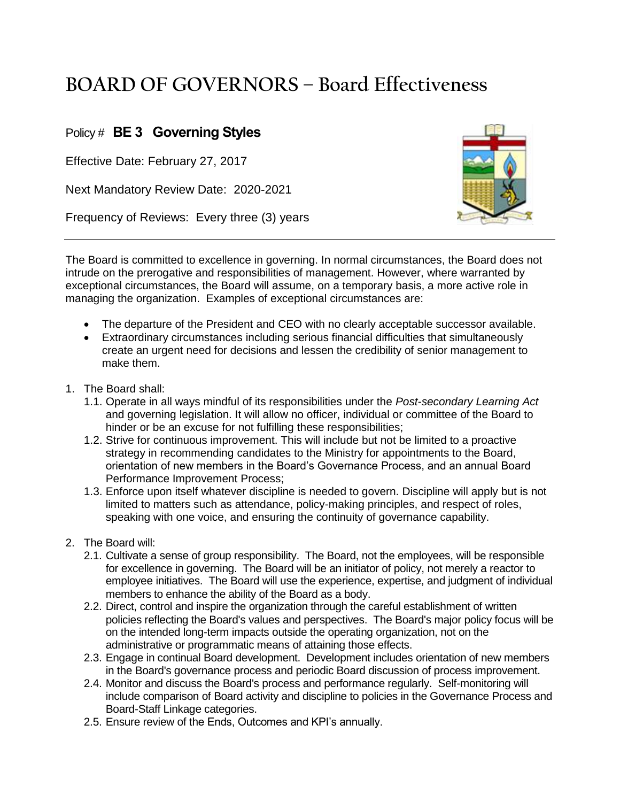## **BOARD OF GOVERNORS – Board Effectiveness**

## Policy # **BE 3 Governing Styles**

Effective Date: February 27, 2017

Next Mandatory Review Date: 2020-2021

Frequency of Reviews: Every three (3) years



The Board is committed to excellence in governing. In normal circumstances, the Board does not intrude on the prerogative and responsibilities of management. However, where warranted by exceptional circumstances, the Board will assume, on a temporary basis, a more active role in managing the organization. Examples of exceptional circumstances are:

- The departure of the President and CEO with no clearly acceptable successor available.
- Extraordinary circumstances including serious financial difficulties that simultaneously create an urgent need for decisions and lessen the credibility of senior management to make them.
- 1. The Board shall:
	- 1.1. Operate in all ways mindful of its responsibilities under the *Post-secondary Learning Act*  and governing legislation. It will allow no officer, individual or committee of the Board to hinder or be an excuse for not fulfilling these responsibilities;
	- 1.2. Strive for continuous improvement. This will include but not be limited to a proactive strategy in recommending candidates to the Ministry for appointments to the Board, orientation of new members in the Board's Governance Process, and an annual Board Performance Improvement Process;
	- 1.3. Enforce upon itself whatever discipline is needed to govern. Discipline will apply but is not limited to matters such as attendance, policy-making principles, and respect of roles, speaking with one voice, and ensuring the continuity of governance capability.
- 2. The Board will:
	- 2.1. Cultivate a sense of group responsibility. The Board, not the employees, will be responsible for excellence in governing. The Board will be an initiator of policy, not merely a reactor to employee initiatives. The Board will use the experience, expertise, and judgment of individual members to enhance the ability of the Board as a body.
	- 2.2. Direct, control and inspire the organization through the careful establishment of written policies reflecting the Board's values and perspectives. The Board's major policy focus will be on the intended long-term impacts outside the operating organization, not on the administrative or programmatic means of attaining those effects.
	- 2.3. Engage in continual Board development. Development includes orientation of new members in the Board's governance process and periodic Board discussion of process improvement.
	- 2.4. Monitor and discuss the Board's process and performance regularly. Self-monitoring will include comparison of Board activity and discipline to policies in the Governance Process and Board-Staff Linkage categories.
	- 2.5. Ensure review of the Ends, Outcomes and KPI's annually.